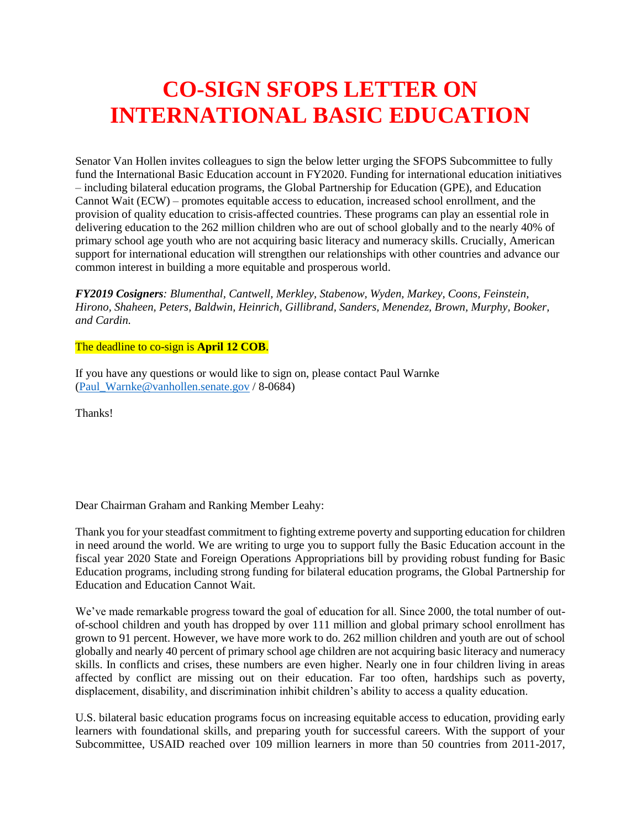## **CO-SIGN SFOPS LETTER ON INTERNATIONAL BASIC EDUCATION**

Senator Van Hollen invites colleagues to sign the below letter urging the SFOPS Subcommittee to fully fund the International Basic Education account in FY2020. Funding for international education initiatives – including bilateral education programs, the Global Partnership for Education (GPE), and Education Cannot Wait (ECW) – promotes equitable access to education, increased school enrollment, and the provision of quality education to crisis-affected countries. These programs can play an essential role in delivering education to the 262 million children who are out of school globally and to the nearly 40% of primary school age youth who are not acquiring basic literacy and numeracy skills. Crucially, American support for international education will strengthen our relationships with other countries and advance our common interest in building a more equitable and prosperous world.

*FY2019 Cosigners: Blumenthal, Cantwell, Merkley, Stabenow, Wyden, Markey, Coons, Feinstein, Hirono, Shaheen, Peters, Baldwin, Heinrich, Gillibrand, Sanders, Menendez, Brown, Murphy, Booker, and Cardin.*

## The deadline to co-sign is **April 12 COB**.

If you have any questions or would like to sign on, please contact Paul Warnke [\(Paul\\_Warnke@vanhollen.senate.gov](mailto:Paul_Warnke@vanhollen.senate.gov) / 8-0684)

Thanks!

Dear Chairman Graham and Ranking Member Leahy:

Thank you for your steadfast commitment to fighting extreme poverty and supporting education for children in need around the world. We are writing to urge you to support fully the Basic Education account in the fiscal year 2020 State and Foreign Operations Appropriations bill by providing robust funding for Basic Education programs, including strong funding for bilateral education programs, the Global Partnership for Education and Education Cannot Wait.

We've made remarkable progress toward the goal of education for all. Since 2000, the total number of outof-school children and youth has dropped by over 111 million and global primary school enrollment has grown to 91 percent. However, we have more work to do. 262 million children and youth are out of school globally and nearly 40 percent of primary school age children are not acquiring basic literacy and numeracy skills. In conflicts and crises, these numbers are even higher. Nearly one in four children living in areas affected by conflict are missing out on their education. Far too often, hardships such as poverty, displacement, disability, and discrimination inhibit children's ability to access a quality education.

U.S. bilateral basic education programs focus on increasing equitable access to education, providing early learners with foundational skills, and preparing youth for successful careers. With the support of your Subcommittee, USAID reached over 109 million learners in more than 50 countries from 2011-2017,